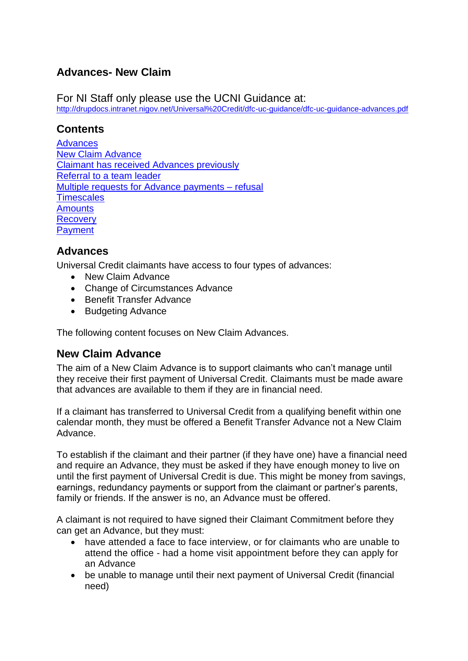# **Advances- New Claim**

For NI Staff only please use the UCNI Guidance at: <http://drupdocs.intranet.nigov.net/Universal%20Credit/dfc-uc-guidance/dfc-uc-guidance-advances.pdf>

## **Contents**

**[Advances](#page-0-0)** [New Claim Advance](#page-0-1) Claimant [has received Advances previously](#page-1-0) Referral to a team leader [Multiple requests for Advance payments –](#page-1-1) refusal **[Timescales](#page-2-0)** [Amounts](#page-2-1) **[Recovery](#page-3-0) [Payment](#page-3-1)** 

#### <span id="page-0-0"></span>**Advances**

Universal Credit claimants have access to four types of advances:

- New Claim Advance
- Change of Circumstances Advance
- Benefit Transfer Advance
- Budgeting Advance

The following content focuses on New Claim Advances.

## <span id="page-0-1"></span>**New Claim Advance**

The aim of a New Claim Advance is to support claimants who can't manage until they receive their first payment of Universal Credit. Claimants must be made aware that advances are available to them if they are in financial need.

If a claimant has transferred to Universal Credit from a qualifying benefit within one calendar month, they must be offered a Benefit Transfer Advance not a New Claim Advance.

To establish if the claimant and their partner (if they have one) have a financial need and require an Advance, they must be asked if they have enough money to live on until the first payment of Universal Credit is due. This might be money from savings, earnings, redundancy payments or support from the claimant or partner's parents, family or friends. If the answer is no, an Advance must be offered.

A claimant is not required to have signed their Claimant Commitment before they can get an Advance, but they must:

- have attended a face to face interview, or for claimants who are unable to attend the office - had a home visit appointment before they can apply for an Advance
- be unable to manage until their next payment of Universal Credit (financial need)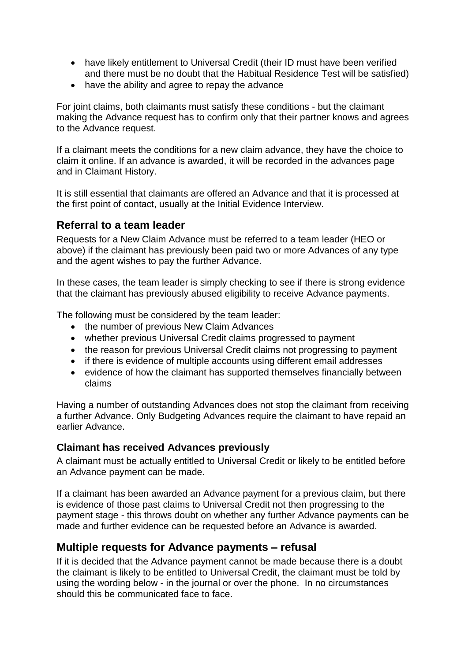- have likely entitlement to Universal Credit (their ID must have been verified and there must be no doubt that the Habitual Residence Test will be satisfied)
- have the ability and agree to repay the advance

For joint claims, both claimants must satisfy these conditions - but the claimant making the Advance request has to confirm only that their partner knows and agrees to the Advance request.

If a claimant meets the conditions for a new claim advance, they have the choice to claim it online. If an advance is awarded, it will be recorded in the advances page and in Claimant History.

It is still essential that claimants are offered an Advance and that it is processed at the first point of contact, usually at the Initial Evidence Interview.

#### <span id="page-1-0"></span>**Referral to a team leader**

Requests for a New Claim Advance must be referred to a team leader (HEO or above) if the claimant has previously been paid two or more Advances of any type and the agent wishes to pay the further Advance.

In these cases, the team leader is simply checking to see if there is strong evidence that the claimant has previously abused eligibility to receive Advance payments.

The following must be considered by the team leader:

- the number of previous New Claim Advances
- whether previous Universal Credit claims progressed to payment
- the reason for previous Universal Credit claims not progressing to payment
- if there is evidence of multiple accounts using different email addresses
- evidence of how the claimant has supported themselves financially between claims

Having a number of outstanding Advances does not stop the claimant from receiving a further Advance. Only Budgeting Advances require the claimant to have repaid an earlier Advance.

#### **Claimant has received Advances previously**

A claimant must be actually entitled to Universal Credit or likely to be entitled before an Advance payment can be made.

If a claimant has been awarded an Advance payment for a previous claim, but there is evidence of those past claims to Universal Credit not then progressing to the payment stage - this throws doubt on whether any further Advance payments can be made and further evidence can be requested before an Advance is awarded.

## <span id="page-1-1"></span>**Multiple requests for Advance payments – refusal**

If it is decided that the Advance payment cannot be made because there is a doubt the claimant is likely to be entitled to Universal Credit, the claimant must be told by using the wording below - in the journal or over the phone. In no circumstances should this be communicated face to face.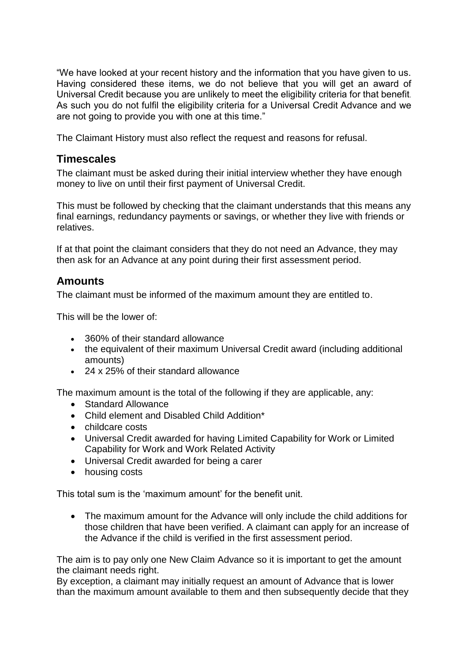"We have looked at your recent history and the information that you have given to us. Having considered these items, we do not believe that you will get an award of Universal Credit because you are unlikely to meet the eligibility criteria for that benefit. As such you do not fulfil the eligibility criteria for a Universal Credit Advance and we are not going to provide you with one at this time."

The Claimant History must also reflect the request and reasons for refusal.

## <span id="page-2-0"></span>**Timescales**

The claimant must be asked during their initial interview whether they have enough money to live on until their first payment of Universal Credit.

This must be followed by checking that the claimant understands that this means any final earnings, redundancy payments or savings, or whether they live with friends or relatives.

If at that point the claimant considers that they do not need an Advance, they may then ask for an Advance at any point during their first assessment period.

# <span id="page-2-1"></span>**Amounts**

The claimant must be informed of the maximum amount they are entitled to.

This will be the lower of:

- 360% of their standard allowance
- the equivalent of their maximum Universal Credit award (including additional amounts)
- 24 x 25% of their standard allowance

The maximum amount is the total of the following if they are applicable, any:

- Standard Allowance
- Child element and Disabled Child Addition\*
- childcare costs
- Universal Credit awarded for having Limited Capability for Work or Limited Capability for Work and Work Related Activity
- Universal Credit awarded for being a carer
- housing costs

This total sum is the 'maximum amount' for the benefit unit.

 The maximum amount for the Advance will only include the child additions for those children that have been verified. A claimant can apply for an increase of the Advance if the child is verified in the first assessment period.

The aim is to pay only one New Claim Advance so it is important to get the amount the claimant needs right.

By exception, a claimant may initially request an amount of Advance that is lower than the maximum amount available to them and then subsequently decide that they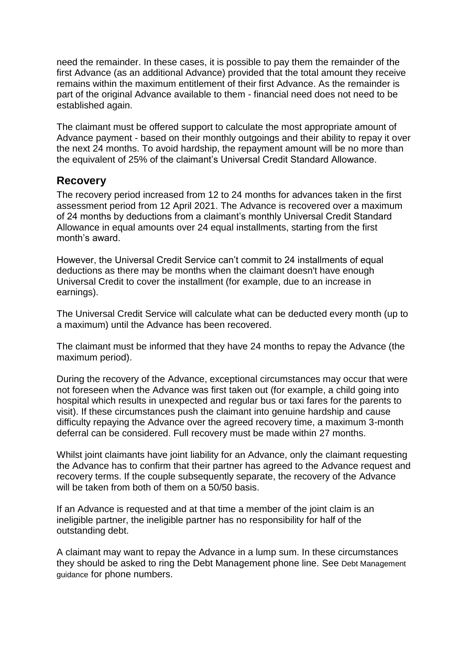need the remainder. In these cases, it is possible to pay them the remainder of the first Advance (as an additional Advance) provided that the total amount they receive remains within the maximum entitlement of their first Advance. As the remainder is part of the original Advance available to them - financial need does not need to be established again.

The claimant must be offered support to calculate the most appropriate amount of Advance payment - based on their monthly outgoings and their ability to repay it over the next 24 months. To avoid hardship, the repayment amount will be no more than the equivalent of 25% of the claimant's Universal Credit Standard Allowance.

#### <span id="page-3-0"></span>**Recovery**

The recovery period increased from 12 to 24 months for advances taken in the first assessment period from 12 April 2021. The Advance is recovered over a maximum of 24 months by deductions from a claimant's monthly Universal Credit Standard Allowance in equal amounts over 24 equal installments, starting from the first month's award.

However, the Universal Credit Service can't commit to 24 installments of equal deductions as there may be months when the claimant doesn't have enough Universal Credit to cover the installment (for example, due to an increase in earnings).

The Universal Credit Service will calculate what can be deducted every month (up to a maximum) until the Advance has been recovered.

The claimant must be informed that they have 24 months to repay the Advance (the maximum period).

During the recovery of the Advance, exceptional circumstances may occur that were not foreseen when the Advance was first taken out (for example, a child going into hospital which results in unexpected and regular bus or taxi fares for the parents to visit). If these circumstances push the claimant into genuine hardship and cause difficulty repaying the Advance over the agreed recovery time, a maximum 3-month deferral can be considered. Full recovery must be made within 27 months.

Whilst joint claimants have joint liability for an Advance, only the claimant requesting the Advance has to confirm that their partner has agreed to the Advance request and recovery terms. If the couple subsequently separate, the recovery of the Advance will be taken from both of them on a 50/50 basis.

If an Advance is requested and at that time a member of the joint claim is an ineligible partner, the ineligible partner has no responsibility for half of the outstanding debt.

<span id="page-3-1"></span>A claimant may want to repay the Advance in a lump sum. In these circumstances they should be asked to ring the Debt Management phone line. See Debt Management guidance for phone numbers.